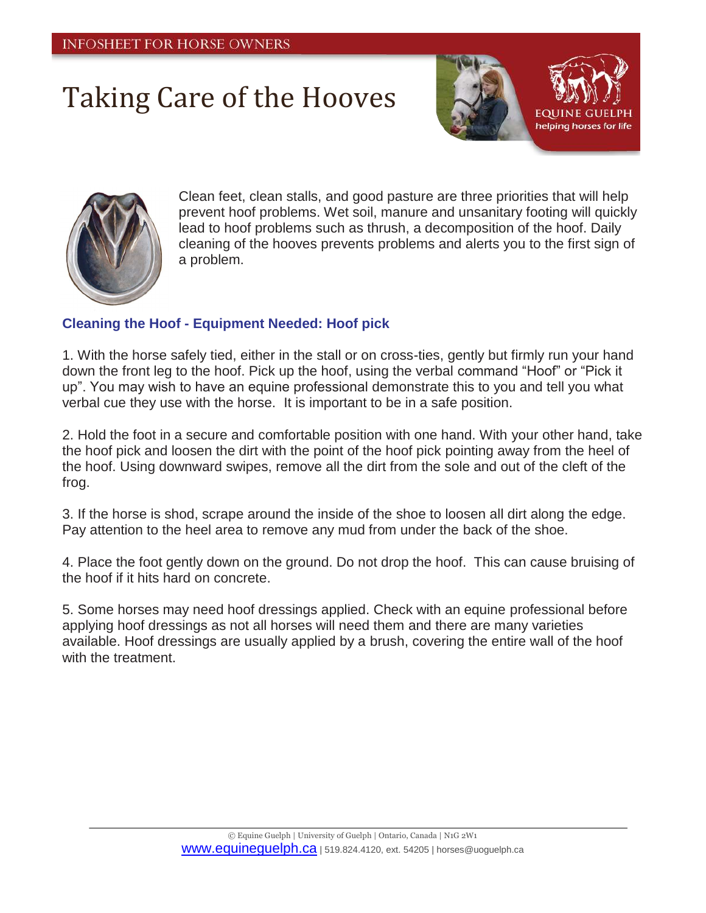## Taking Care of the Hooves





Clean feet, clean stalls, and good pasture are three priorities that will help prevent hoof problems. Wet soil, manure and unsanitary footing will quickly lead to hoof problems such as thrush, a decomposition of the hoof. Daily cleaning of the hooves prevents problems and alerts you to the first sign of a problem.

## **Cleaning the Hoof - Equipment Needed: Hoof pick**

1. With the horse safely tied, either in the stall or on cross-ties, gently but firmly run your hand down the front leg to the hoof. Pick up the hoof, using the verbal command "Hoof" or "Pick it up". You may wish to have an equine professional demonstrate this to you and tell you what verbal cue they use with the horse. It is important to be in a safe position.

2. Hold the foot in a secure and comfortable position with one hand. With your other hand, take the hoof pick and loosen the dirt with the point of the hoof pick pointing away from the heel of the hoof. Using downward swipes, remove all the dirt from the sole and out of the cleft of the frog.

3. If the horse is shod, scrape around the inside of the shoe to loosen all dirt along the edge. Pay attention to the heel area to remove any mud from under the back of the shoe.

4. Place the foot gently down on the ground. Do not drop the hoof. This can cause bruising of the hoof if it hits hard on concrete.

5. Some horses may need hoof dressings applied. Check with an equine professional before applying hoof dressings as not all horses will need them and there are many varieties available. Hoof dressings are usually applied by a brush, covering the entire wall of the hoof with the treatment.